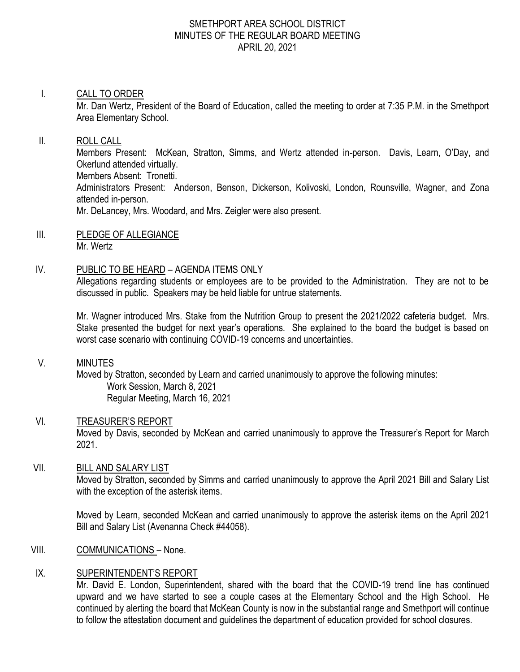#### SMETHPORT AREA SCHOOL DISTRICT MINUTES OF THE REGULAR BOARD MEETING APRIL 20, 2021

#### I. CALL TO ORDER

Mr. Dan Wertz, President of the Board of Education, called the meeting to order at 7:35 P.M. in the Smethport Area Elementary School.

#### II. ROLL CALL

Members Present: McKean, Stratton, Simms, and Wertz attended in-person. Davis, Learn, O'Day, and Okerlund attended virtually. Members Absent: Tronetti. Administrators Present: Anderson, Benson, Dickerson, Kolivoski, London, Rounsville, Wagner, and Zona attended in-person. Mr. DeLancey, Mrs. Woodard, and Mrs. Zeigler were also present.

III. PLEDGE OF ALLEGIANCE Mr. Wertz

#### IV. PUBLIC TO BE HEARD – AGENDA ITEMS ONLY

Allegations regarding students or employees are to be provided to the Administration. They are not to be discussed in public. Speakers may be held liable for untrue statements.

Mr. Wagner introduced Mrs. Stake from the Nutrition Group to present the 2021/2022 cafeteria budget. Mrs. Stake presented the budget for next year's operations. She explained to the board the budget is based on worst case scenario with continuing COVID-19 concerns and uncertainties.

#### V. MINUTES

Moved by Stratton, seconded by Learn and carried unanimously to approve the following minutes: Work Session, March 8, 2021 Regular Meeting, March 16, 2021

# VI. TREASURER'S REPORT

Moved by Davis, seconded by McKean and carried unanimously to approve the Treasurer's Report for March 2021.

# VII. BILL AND SALARY LIST

Moved by Stratton, seconded by Simms and carried unanimously to approve the April 2021 Bill and Salary List with the exception of the asterisk items.

Moved by Learn, seconded McKean and carried unanimously to approve the asterisk items on the April 2021 Bill and Salary List (Avenanna Check #44058).

# VIII. COMMUNICATIONS - None.

# IX. SUPERINTENDENT'S REPORT

Mr. David E. London, Superintendent, shared with the board that the COVID-19 trend line has continued upward and we have started to see a couple cases at the Elementary School and the High School. He continued by alerting the board that McKean County is now in the substantial range and Smethport will continue to follow the attestation document and guidelines the department of education provided for school closures.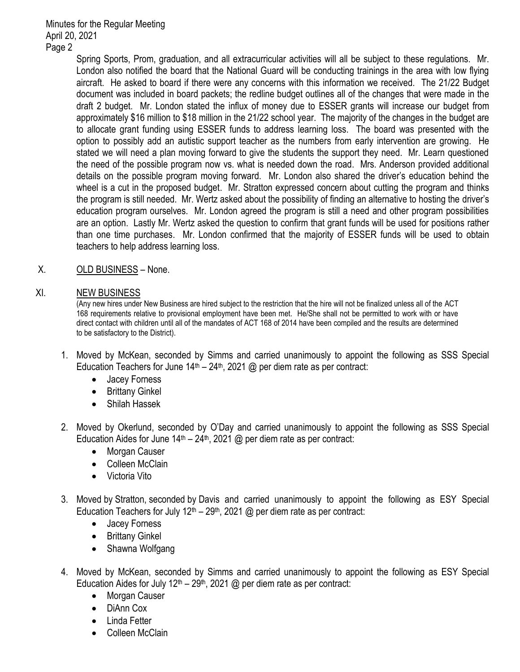> Spring Sports, Prom, graduation, and all extracurricular activities will all be subject to these regulations. Mr. London also notified the board that the National Guard will be conducting trainings in the area with low flying aircraft. He asked to board if there were any concerns with this information we received. The 21/22 Budget document was included in board packets; the redline budget outlines all of the changes that were made in the draft 2 budget. Mr. London stated the influx of money due to ESSER grants will increase our budget from approximately \$16 million to \$18 million in the 21/22 school year. The majority of the changes in the budget are to allocate grant funding using ESSER funds to address learning loss. The board was presented with the option to possibly add an autistic support teacher as the numbers from early intervention are growing. He stated we will need a plan moving forward to give the students the support they need. Mr. Learn questioned the need of the possible program now vs. what is needed down the road. Mrs. Anderson provided additional details on the possible program moving forward. Mr. London also shared the driver's education behind the wheel is a cut in the proposed budget. Mr. Stratton expressed concern about cutting the program and thinks the program is still needed. Mr. Wertz asked about the possibility of finding an alternative to hosting the driver's education program ourselves. Mr. London agreed the program is still a need and other program possibilities are an option. Lastly Mr. Wertz asked the question to confirm that grant funds will be used for positions rather than one time purchases. Mr. London confirmed that the majority of ESSER funds will be used to obtain teachers to help address learning loss.

# X. OLD BUSINESS - None.

#### XI. NEW BUSINESS

(Any new hires under New Business are hired subject to the restriction that the hire will not be finalized unless all of the ACT 168 requirements relative to provisional employment have been met. He/She shall not be permitted to work with or have direct contact with children until all of the mandates of ACT 168 of 2014 have been compiled and the results are determined to be satisfactory to the District).

- 1. Moved by McKean, seconded by Simms and carried unanimously to appoint the following as SSS Special Education Teachers for June  $14<sup>th</sup> - 24<sup>th</sup>$ , 2021 @ per diem rate as per contract:
	- Jacey Forness
	- Brittany Ginkel
	- Shilah Hassek
- 2. Moved by Okerlund, seconded by O'Day and carried unanimously to appoint the following as SSS Special Education Aides for June  $14<sup>th</sup> - 24<sup>th</sup>$ , 2021 @ per diem rate as per contract:
	- Morgan Causer
	- Colleen McClain
	- Victoria Vito
- 3. Moved by Stratton, seconded by Davis and carried unanimously to appoint the following as ESY Special Education Teachers for July 12<sup>th</sup> – 29<sup>th</sup>, 2021 @ per diem rate as per contract:
	- Jacey Forness
	- Brittany Ginkel
	- Shawna Wolfgang
- 4. Moved by McKean, seconded by Simms and carried unanimously to appoint the following as ESY Special Education Aides for July  $12<sup>th</sup> - 29<sup>th</sup>$ , 2021 @ per diem rate as per contract:
	- Morgan Causer
	- DiAnn Cox
	- Linda Fetter
	- Colleen McClain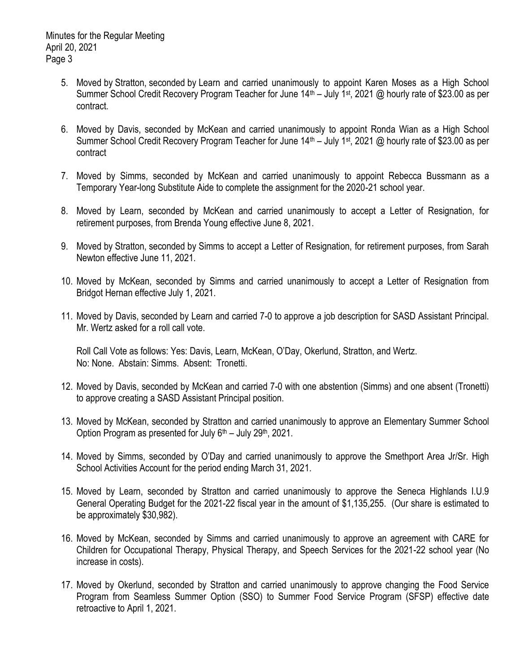- 5. Moved by Stratton, seconded by Learn and carried unanimously to appoint Karen Moses as a High School Summer School Credit Recovery Program Teacher for June 14<sup>th</sup> – July 1<sup>st</sup>, 2021 @ hourly rate of \$23.00 as per contract.
- 6. Moved by Davis, seconded by McKean and carried unanimously to appoint Ronda Wian as a High School Summer School Credit Recovery Program Teacher for June 14<sup>th</sup> – July 1<sup>st</sup>, 2021 @ hourly rate of \$23.00 as per contract
- 7. Moved by Simms, seconded by McKean and carried unanimously to appoint Rebecca Bussmann as a Temporary Year-long Substitute Aide to complete the assignment for the 2020-21 school year.
- 8. Moved by Learn, seconded by McKean and carried unanimously to accept a Letter of Resignation, for retirement purposes, from Brenda Young effective June 8, 2021.
- 9. Moved by Stratton, seconded by Simms to accept a Letter of Resignation, for retirement purposes, from Sarah Newton effective June 11, 2021.
- 10. Moved by McKean, seconded by Simms and carried unanimously to accept a Letter of Resignation from Bridgot Hernan effective July 1, 2021.
- 11. Moved by Davis, seconded by Learn and carried 7-0 to approve a job description for SASD Assistant Principal. Mr. Wertz asked for a roll call vote.

Roll Call Vote as follows: Yes: Davis, Learn, McKean, O'Day, Okerlund, Stratton, and Wertz. No: None. Abstain: Simms. Absent: Tronetti.

- 12. Moved by Davis, seconded by McKean and carried 7-0 with one abstention (Simms) and one absent (Tronetti) to approve creating a SASD Assistant Principal position.
- 13. Moved by McKean, seconded by Stratton and carried unanimously to approve an Elementary Summer School Option Program as presented for July  $6<sup>th</sup>$  – July 29<sup>th</sup>, 2021.
- 14. Moved by Simms, seconded by O'Day and carried unanimously to approve the Smethport Area Jr/Sr. High School Activities Account for the period ending March 31, 2021.
- 15. Moved by Learn, seconded by Stratton and carried unanimously to approve the Seneca Highlands I.U.9 General Operating Budget for the 2021-22 fiscal year in the amount of \$1,135,255. (Our share is estimated to be approximately \$30,982).
- 16. Moved by McKean, seconded by Simms and carried unanimously to approve an agreement with CARE for Children for Occupational Therapy, Physical Therapy, and Speech Services for the 2021-22 school year (No increase in costs).
- 17. Moved by Okerlund, seconded by Stratton and carried unanimously to approve changing the Food Service Program from Seamless Summer Option (SSO) to Summer Food Service Program (SFSP) effective date retroactive to April 1, 2021.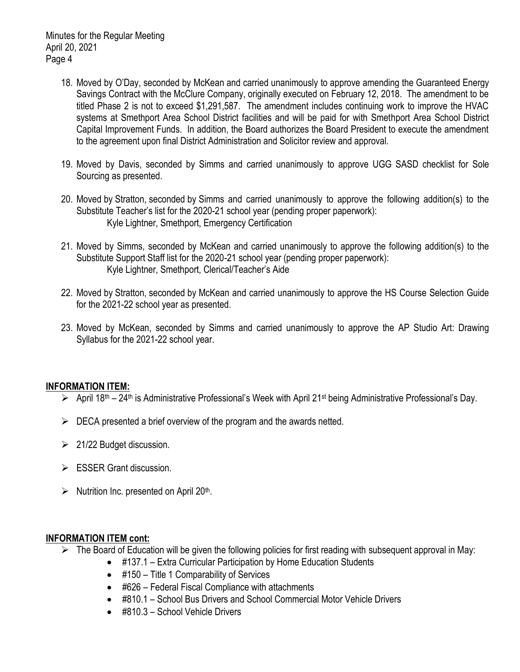- 18. Moved by O'Day, seconded by McKean and carried unanimously to approve amending the Guaranteed Energy Savings Contract with the McClure Company, originally executed on February 12, 2018. The amendment to be titled Phase 2 is not to exceed \$1,291,587. The amendment includes continuing work to improve the HVAC systems at Smethport Area School District facilities and will be paid for with Smethport Area School District Capital Improvement Funds. In addition, the Board authorizes the Board President to execute the amendment to the agreement upon final District Administration and Solicitor review and approval.
- 19. Moved by Davis, seconded by Simms and carried unanimously to approve UGG SASD checklist for Sole Sourcing as presented.
- 20. Moved by Stratton, seconded by Simms and carried unanimously to approve the following addition(s) to the Substitute Teacher's list for the 2020-21 school year (pending proper paperwork): Kyle Lightner, Smethport, Emergency Certification
- 21. Moved by Simms, seconded by McKean and carried unanimously to approve the following addition(s) to the Substitute Support Staff list for the 2020-21 school year (pending proper paperwork): Kyle Lightner, Smethport, Clerical/Teacher's Aide
- 22. Moved by Stratton, seconded by McKean and carried unanimously to approve the HS Course Selection Guide for the 2021-22 school year as presented.
- 23. Moved by McKean, seconded by Simms and carried unanimously to approve the AP Studio Art: Drawing Syllabus for the 2021-22 school year.

# **INFORMATION ITEM:**

- $\triangleright$  April 18<sup>th</sup> 24<sup>th</sup> is Administrative Professional's Week with April 21<sup>st</sup> being Administrative Professional's Day.
- $\triangleright$  DECA presented a brief overview of the program and the awards netted.
- $\geq$  21/22 Budget discussion.
- $\triangleright$  ESSER Grant discussion.
- $\triangleright$  Nutrition Inc. presented on April 20<sup>th</sup>.

# **INFORMATION ITEM cont:**

- $\triangleright$  The Board of Education will be given the following policies for first reading with subsequent approval in May:
	- #137.1 Extra Curricular Participation by Home Education Students
	- #150 Title 1 Comparability of Services
	- #626 Federal Fiscal Compliance with attachments
	- #810.1 School Bus Drivers and School Commercial Motor Vehicle Drivers
	- #810.3 School Vehicle Drivers